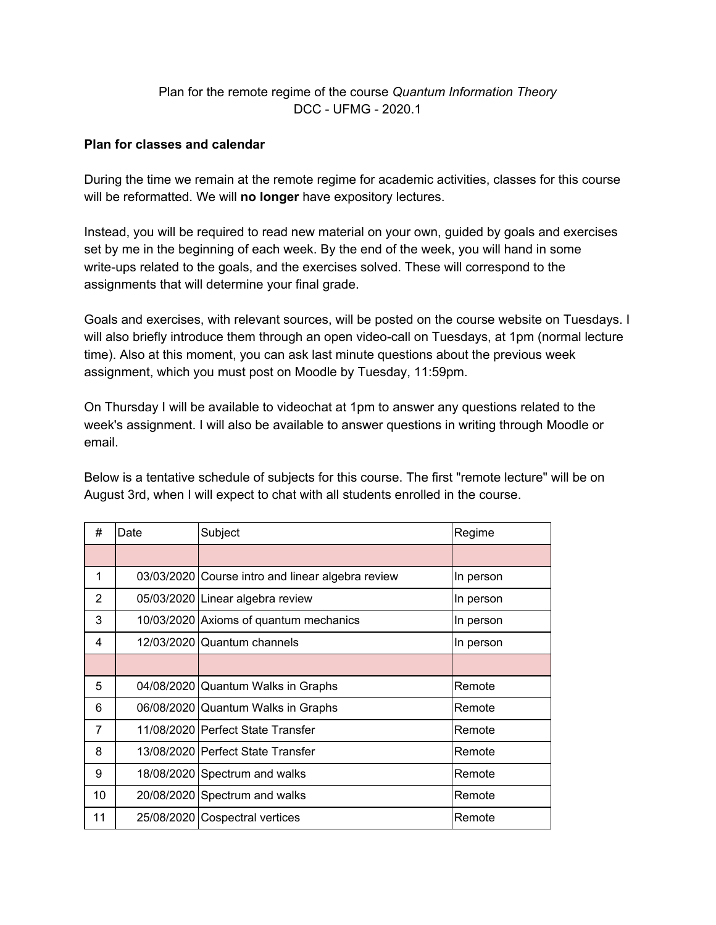# Plan for the remote regime of the course *Quantum Information Theory* DCC - UFMG - 2020.1

#### **Plan for classes and calendar**

During the time we remain at the remote regime for academic activities, classes for this course will be reformatted. We will **no longer** have expository lectures.

Instead, you will be required to read new material on your own, guided by goals and exercises set by me in the beginning of each week. By the end of the week, you will hand in some write-ups related to the goals, and the exercises solved. These will correspond to the assignments that will determine your final grade.

Goals and exercises, with relevant sources, will be posted on the course website on Tuesdays. I will also briefly introduce them through an open video-call on Tuesdays, at 1pm (normal lecture time). Also at this moment, you can ask last minute questions about the previous week assignment, which you must post on Moodle by Tuesday, 11:59pm.

On Thursday I will be available to videochat at 1pm to answer any questions related to the week's assignment. I will also be available to answer questions in writing through Moodle or email.

Below is a tentative schedule of subjects for this course. The first "remote lecture" will be on August 3rd, when I will expect to chat with all students enrolled in the course.

| #              | Date | Subject                                           | Regime    |
|----------------|------|---------------------------------------------------|-----------|
|                |      |                                                   |           |
| 1              |      | 03/03/2020 Course intro and linear algebra review | In person |
| 2              |      | 05/03/2020 Linear algebra review                  | In person |
| 3              |      | 10/03/2020 Axioms of quantum mechanics            | In person |
| 4              |      | 12/03/2020 Quantum channels                       | In person |
|                |      |                                                   |           |
| 5              |      | 04/08/2020 Quantum Walks in Graphs                | Remote    |
| 6              |      | 06/08/2020 Quantum Walks in Graphs                | Remote    |
| $\overline{7}$ |      | 11/08/2020   Perfect State Transfer               | Remote    |
| 8              |      | 13/08/2020   Perfect State Transfer               | Remote    |
| 9              |      | 18/08/2020 Spectrum and walks                     | Remote    |
| 10             |      | 20/08/2020 Spectrum and walks                     | Remote    |
| 11             |      | 25/08/2020 Cospectral vertices                    | Remote    |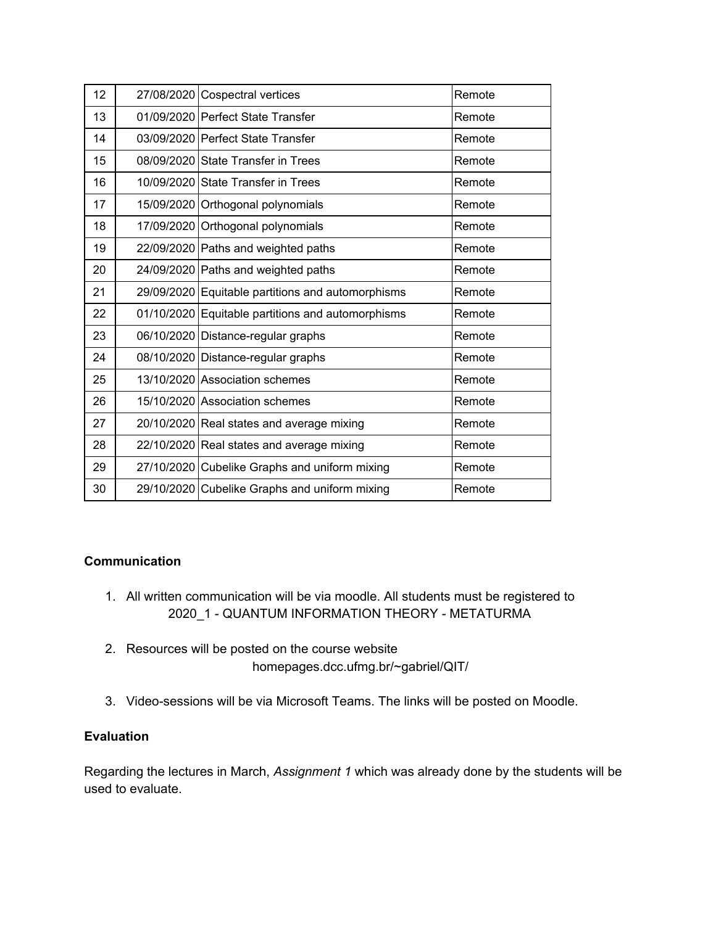| 12 | 27/08/2020 Cospectral vertices                    | Remote |
|----|---------------------------------------------------|--------|
| 13 | 01/09/2020 Perfect State Transfer                 | Remote |
| 14 | 03/09/2020 Perfect State Transfer                 | Remote |
| 15 | 08/09/2020 State Transfer in Trees                | Remote |
| 16 | 10/09/2020 State Transfer in Trees                | Remote |
| 17 | 15/09/2020 Orthogonal polynomials                 | Remote |
| 18 | 17/09/2020 Orthogonal polynomials                 | Remote |
| 19 | 22/09/2020 Paths and weighted paths               | Remote |
| 20 | 24/09/2020 Paths and weighted paths               | Remote |
| 21 | 29/09/2020 Equitable partitions and automorphisms | Remote |
| 22 | 01/10/2020 Equitable partitions and automorphisms | Remote |
| 23 | 06/10/2020 Distance-regular graphs                | Remote |
| 24 | 08/10/2020 Distance-regular graphs                | Remote |
| 25 | 13/10/2020 Association schemes                    | Remote |
| 26 | 15/10/2020 Association schemes                    | Remote |
| 27 | 20/10/2020 Real states and average mixing         | Remote |
| 28 | 22/10/2020 Real states and average mixing         | Remote |
| 29 | 27/10/2020 Cubelike Graphs and uniform mixing     | Remote |
| 30 | 29/10/2020 Cubelike Graphs and uniform mixing     | Remote |

# **Communication**

- 1. All written communication will be via moodle. All students must be registered to 2020\_1 - QUANTUM INFORMATION THEORY - METATURMA
- 2. Resources will be posted on the course website homepages.dcc.ufmg.br/~gabriel/QIT/
- 3. Video-sessions will be via Microsoft Teams. The links will be posted on Moodle.

## **Evaluation**

Regarding the lectures in March, *Assignment 1* which was already done by the students will be used to evaluate.